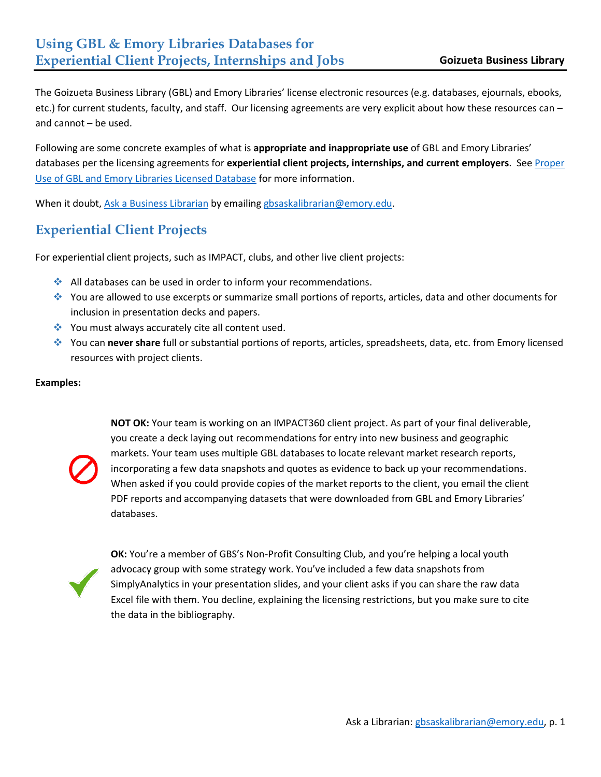The Goizueta Business Library (GBL) and Emory Libraries' license electronic resources (e.g. databases, ejournals, ebooks, etc.) for current students, faculty, and staff. Our licensing agreements are very explicit about how these resources can – and cannot – be used.

Following are some concrete examples of what is **appropriate and inappropriate use** of GBL and Emory Libraries' databases per the licensing agreements for **experiential client projects, internships, and current employers**. Se[e Proper](https://business.library.emory.edu/research-learning/proper-use/use-licensed-databases.html)  [Use of GBL and Emory Libraries Licensed Database](https://business.library.emory.edu/research-learning/proper-use/use-licensed-databases.html) for more information.

When it doubt, [Ask a Business Librarian](http://business.library.emory.edu/help/index.html) by emailin[g gbsaskalibrarian@emory.edu.](mailto:gbsaskalibrarian@emory.edu)

## **Experiential Client Projects**

For experiential client projects, such as IMPACT, clubs, and other live client projects:

- $\cdot$  All databases can be used in order to inform your recommendations.
- You are allowed to use excerpts or summarize small portions of reports, articles, data and other documents for inclusion in presentation decks and papers.
- ◆ You must always accurately cite all content used.
- You can **never share** full or substantial portions of reports, articles, spreadsheets, data, etc. from Emory licensed resources with project clients.

### **Examples:**



**NOT OK:** Your team is working on an IMPACT360 client project. As part of your final deliverable, you create a deck laying out recommendations for entry into new business and geographic markets. Your team uses multiple GBL databases to locate relevant market research reports, incorporating a few data snapshots and quotes as evidence to back up your recommendations. When asked if you could provide copies of the market reports to the client, you email the client PDF reports and accompanying datasets that were downloaded from GBL and Emory Libraries' databases.



**OK:** You're a member of GBS's Non-Profit Consulting Club, and you're helping a local youth advocacy group with some strategy work. You've included a few data snapshots from SimplyAnalytics in your presentation slides, and your client asks if you can share the raw data Excel file with them. You decline, explaining the licensing restrictions, but you make sure to cite the data in the bibliography.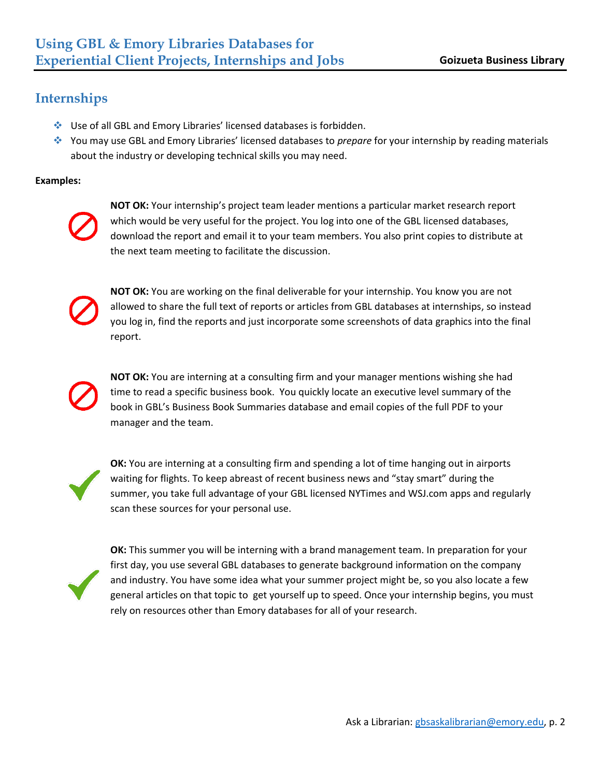# **Internships**

- Use of all GBL and Emory Libraries' licensed databases is forbidden.
- You may use GBL and Emory Libraries' licensed databases to *prepare* for your internship by reading materials about the industry or developing technical skills you may need.

### **Examples:**



**NOT OK:** Your internship's project team leader mentions a particular market research report which would be very useful for the project. You log into one of the GBL licensed databases, download the report and email it to your team members. You also print copies to distribute at the next team meeting to facilitate the discussion.



**NOT OK:** You are working on the final deliverable for your internship. You know you are not allowed to share the full text of reports or articles from GBL databases at internships, so instead you log in, find the reports and just incorporate some screenshots of data graphics into the final report.



**NOT OK:** You are interning at a consulting firm and your manager mentions wishing she had time to read a specific business book. You quickly locate an executive level summary of the book in GBL's Business Book Summaries database and email copies of the full PDF to your manager and the team.



**OK:** You are interning at a consulting firm and spending a lot of time hanging out in airports waiting for flights. To keep abreast of recent business news and "stay smart" during the summer, you take full advantage of your GBL licensed NYTimes and WSJ.com apps and regularly scan these sources for your personal use.



**OK:** This summer you will be interning with a brand management team. In preparation for your first day, you use several GBL databases to generate background information on the company and industry. You have some idea what your summer project might be, so you also locate a few general articles on that topic to get yourself up to speed. Once your internship begins, you must rely on resources other than Emory databases for all of your research.